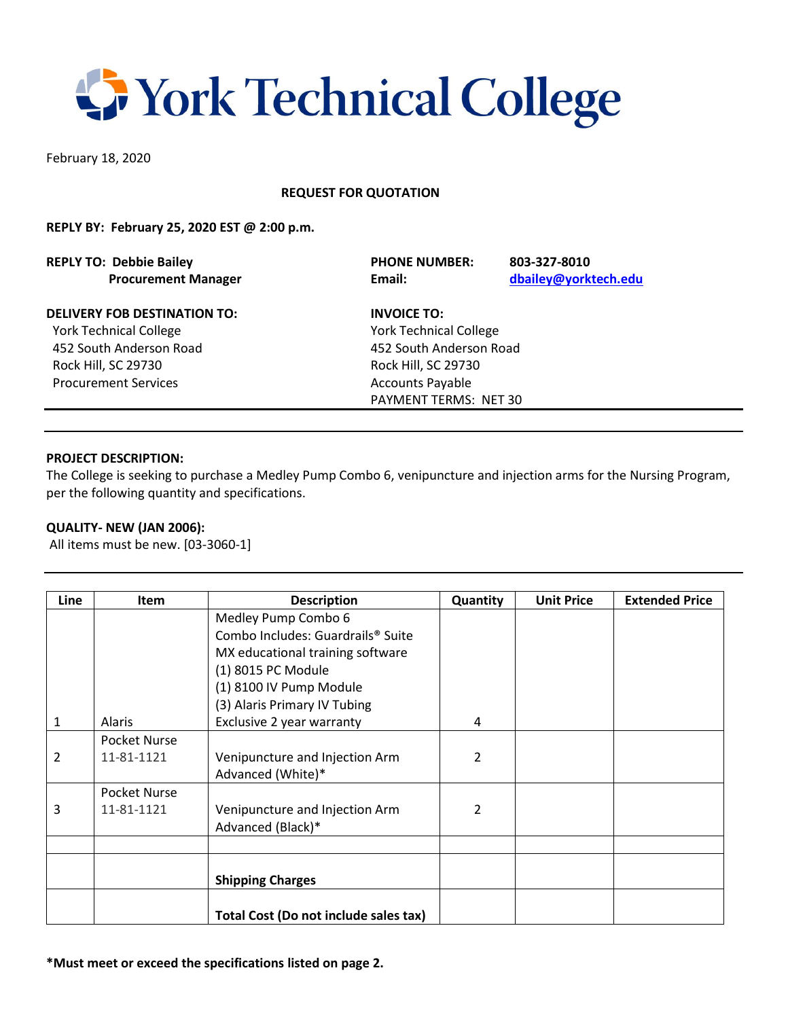# **S** York Technical College

February 18, 2020

# **REQUEST FOR QUOTATION**

### **REPLY BY: February 25, 2020 EST @ 2:00 p.m.**

| <b>REPLY TO: Debbie Bailey</b>      | <b>PHONE NUMBER:</b>          |                         |  |  |
|-------------------------------------|-------------------------------|-------------------------|--|--|
| <b>Procurement Manager</b>          | Email:                        |                         |  |  |
| <b>DELIVERY FOB DESTINATION TO:</b> | <b>INVOICE TO:</b>            |                         |  |  |
| <b>York Technical College</b>       | <b>York Technical College</b> |                         |  |  |
| 452 South Anderson Road             |                               | 452 South Anderson Road |  |  |

Rock Hill, SC 29730 Rock Hill, SC 29730 Procurement Services Accounts Payable

PAYMENT TERMS: NET 30

**REPLY TO: Debbie Bailey PHONE NUMBER: 803-327-8010**

 **Procurement Manager Email: [dbailey@yorktech.edu](mailto:dbailey@yorktech.edu)** 

#### **PROJECT DESCRIPTION:**

The College is seeking to purchase a Medley Pump Combo 6, venipuncture and injection arms for the Nursing Program, per the following quantity and specifications.

#### **QUALITY- NEW (JAN 2006):**

All items must be new. [03-3060-1]

| Line | Item          | <b>Description</b>                            | Quantity | <b>Unit Price</b> | <b>Extended Price</b> |
|------|---------------|-----------------------------------------------|----------|-------------------|-----------------------|
|      |               | Medley Pump Combo 6                           |          |                   |                       |
|      |               | Combo Includes: Guardrails <sup>®</sup> Suite |          |                   |                       |
|      |               | MX educational training software              |          |                   |                       |
|      |               | (1) 8015 PC Module                            |          |                   |                       |
|      |               | (1) 8100 IV Pump Module                       |          |                   |                       |
|      |               | (3) Alaris Primary IV Tubing                  |          |                   |                       |
| 1    | <b>Alaris</b> | Exclusive 2 year warranty                     | 4        |                   |                       |
|      | Pocket Nurse  |                                               |          |                   |                       |
| 2    | 11-81-1121    | Venipuncture and Injection Arm                | 2        |                   |                       |
|      |               | Advanced (White)*                             |          |                   |                       |
|      | Pocket Nurse  |                                               |          |                   |                       |
| 3    | 11-81-1121    | Venipuncture and Injection Arm                | 2        |                   |                       |
|      |               | Advanced (Black)*                             |          |                   |                       |
|      |               |                                               |          |                   |                       |
|      |               |                                               |          |                   |                       |
|      |               | <b>Shipping Charges</b>                       |          |                   |                       |
|      |               |                                               |          |                   |                       |
|      |               | Total Cost (Do not include sales tax)         |          |                   |                       |

**\*Must meet or exceed the specifications listed on page 2.**